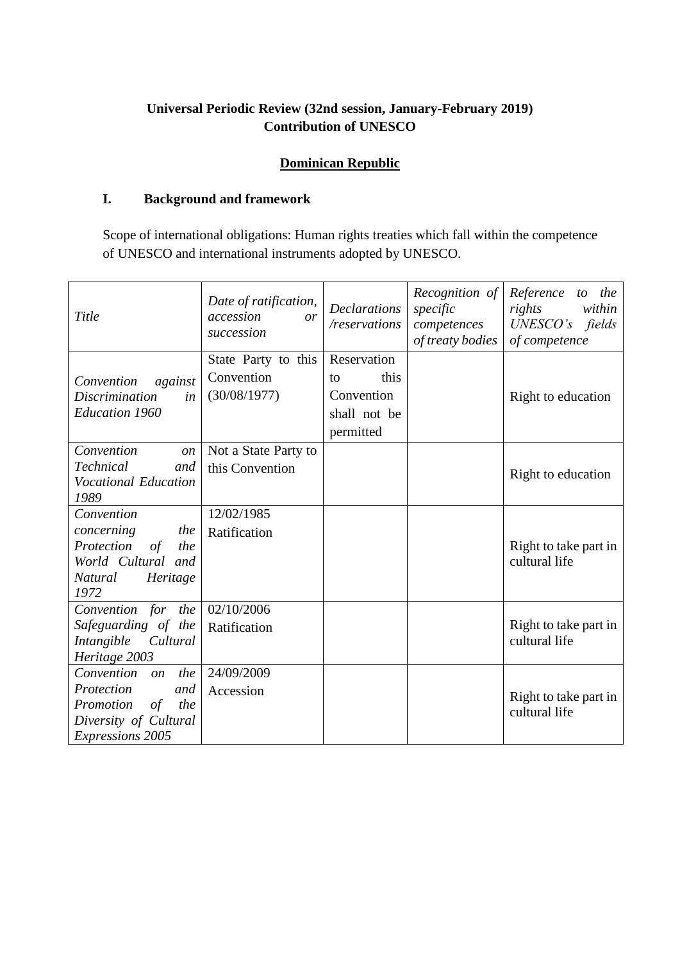# **Universal Periodic Review (32nd session, January-February 2019) Contribution of UNESCO**

# **Dominican Republic**

## **I. Background and framework**

Scope of international obligations: Human rights treaties which fall within the competence of UNESCO and international instruments adopted by UNESCO.

| Title                                                                                                                                   | Date of ratification,<br>accession<br>or<br>succession | <b>Declarations</b><br>/reservations    | Recognition of<br>specific<br>competences<br>of treaty bodies | Reference to the<br>within<br>rights<br>$UNESCO's$ fields<br>of competence |
|-----------------------------------------------------------------------------------------------------------------------------------------|--------------------------------------------------------|-----------------------------------------|---------------------------------------------------------------|----------------------------------------------------------------------------|
| against<br>Convention<br><i>Discrimination</i><br>in                                                                                    | State Party to this<br>Convention<br>(30/08/1977)      | Reservation<br>this<br>to<br>Convention |                                                               | Right to education                                                         |
| <b>Education 1960</b>                                                                                                                   |                                                        | shall not be<br>permitted               |                                                               |                                                                            |
| Convention<br>$\mathfrak{O}n$<br>Technical<br>and<br><b>Vocational Education</b><br>1989                                                | Not a State Party to<br>this Convention                |                                         |                                                               | Right to education                                                         |
| Convention<br>concerning<br>the<br>Protection<br>the<br>$\sigma f$<br>World Cultural and<br>Natural<br>Heritage<br>1972                 | 12/02/1985<br>Ratification                             |                                         |                                                               | Right to take part in<br>cultural life                                     |
| Convention for the<br>Safeguarding of the<br>Intangible<br>Cultural<br>Heritage 2003                                                    | 02/10/2006<br>Ratification                             |                                         |                                                               | Right to take part in<br>cultural life                                     |
| Convention<br>the<br>$\mathfrak{O}n$<br>Protection<br>and<br>Promotion<br>of<br>the<br>Diversity of Cultural<br><b>Expressions 2005</b> | 24/09/2009<br>Accession                                |                                         |                                                               | Right to take part in<br>cultural life                                     |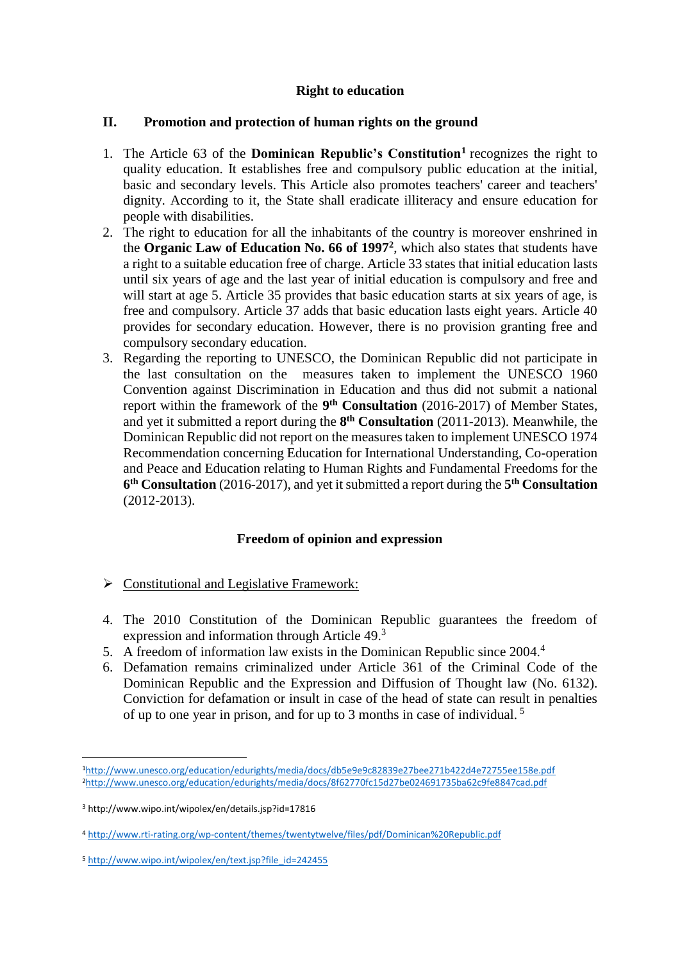## **Right to education**

#### **II. Promotion and protection of human rights on the ground**

- 1. The Article 63 of the **Dominican Republic's Constitution<sup>1</sup>** recognizes the right to quality education. It establishes free and compulsory public education at the initial, basic and secondary levels. This Article also promotes teachers' career and teachers' dignity. According to it, the State shall eradicate illiteracy and ensure education for people with disabilities.
- 2. The right to education for all the inhabitants of the country is moreover enshrined in the **Organic Law of Education No. 66 of 1997<sup>2</sup>** , which also states that students have a right to a suitable education free of charge. Article 33 states that initial education lasts until six years of age and the last year of initial education is compulsory and free and will start at age 5. Article 35 provides that basic education starts at six years of age, is free and compulsory. Article 37 adds that basic education lasts eight years. Article 40 provides for secondary education. However, there is no provision granting free and compulsory secondary education.
- 3. Regarding the reporting to UNESCO, the Dominican Republic did not participate in the last consultation on the measures taken to implement the UNESCO 1960 Convention against Discrimination in Education and thus did not submit a national report within the framework of the **9 th Consultation** (2016-2017) of Member States, and yet it submitted a report during the **8 th Consultation** (2011-2013). Meanwhile, the Dominican Republic did not report on the measures taken to implement UNESCO 1974 Recommendation concerning Education for International Understanding, Co-operation and Peace and Education relating to Human Rights and Fundamental Freedoms for the **6 th Consultation** (2016-2017), and yet it submitted a report during the **5 th Consultation** (2012-2013).

### **Freedom of opinion and expression**

- $\triangleright$  Constitutional and Legislative Framework:
- 4. The 2010 Constitution of the Dominican Republic guarantees the freedom of expression and information through Article 49.<sup>3</sup>
- 5. A freedom of information law exists in the Dominican Republic since 2004.<sup>4</sup>
- 6. Defamation remains criminalized under Article 361 of the Criminal Code of the Dominican Republic and the Expression and Diffusion of Thought law (No. 6132). Conviction for defamation or insult in case of the head of state can result in penalties of up to one year in prison, and for up to 3 months in case of individual. <sup>5</sup>

**.** 

<sup>1</sup><http://www.unesco.org/education/edurights/media/docs/db5e9e9c82839e27bee271b422d4e72755ee158e.pdf> <sup>2</sup><http://www.unesco.org/education/edurights/media/docs/8f62770fc15d27be024691735ba62c9fe8847cad.pdf>

<sup>3</sup> http://www.wipo.int/wipolex/en/details.jsp?id=17816

<sup>4</sup> <http://www.rti-rating.org/wp-content/themes/twentytwelve/files/pdf/Dominican%20Republic.pdf>

<sup>5</sup> [http://www.wipo.int/wipolex/en/text.jsp?file\\_id=242455](http://www.wipo.int/wipolex/en/text.jsp?file_id=242455)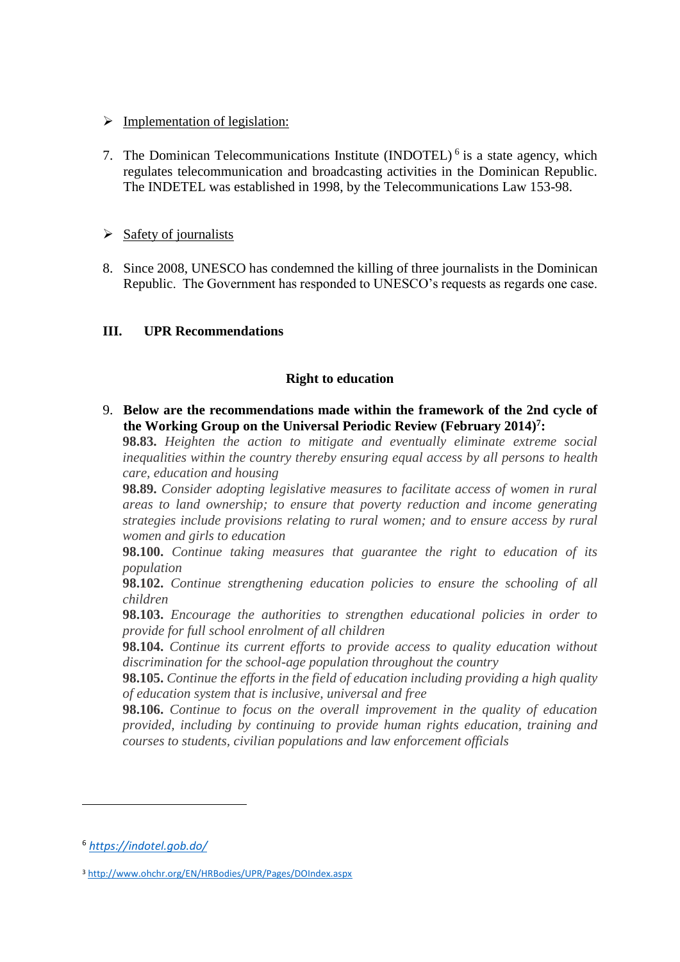#### $\triangleright$  Implementation of legislation:

7. The Dominican Telecommunications Institute  $(INDOTEL)^6$  is a state agency, which regulates telecommunication and broadcasting activities in the Dominican Republic. The INDETEL was established in 1998, by the Telecommunications Law 153-98.

### $\triangleright$  Safety of journalists

8. Since 2008, UNESCO has condemned the killing of three journalists in the Dominican Republic. The Government has responded to UNESCO's requests as regards one case.

#### **III. UPR Recommendations**

#### **Right to education**

9. **Below are the recommendations made within the framework of the 2nd cycle of the Working Group on the Universal Periodic Review (February 2014) 7 :**

**98.83.** *Heighten the action to mitigate and eventually eliminate extreme social inequalities within the country thereby ensuring equal access by all persons to health care, education and housing*

**98.89.** *Consider adopting legislative measures to facilitate access of women in rural areas to land ownership; to ensure that poverty reduction and income generating strategies include provisions relating to rural women; and to ensure access by rural women and girls to education*

**98.100.** *Continue taking measures that guarantee the right to education of its population*

**98.102.** *Continue strengthening education policies to ensure the schooling of all children*

**98.103.** *Encourage the authorities to strengthen educational policies in order to provide for full school enrolment of all children*

**98.104.** *Continue its current efforts to provide access to quality education without discrimination for the school-age population throughout the country*

**98.105.** *Continue the efforts in the field of education including providing a high quality of education system that is inclusive, universal and free*

**98.106.** *Continue to focus on the overall improvement in the quality of education provided, including by continuing to provide human rights education, training and courses to students, civilian populations and law enforcement officials*

1

<sup>6</sup> *<https://indotel.gob.do/>*

<sup>3</sup> <http://www.ohchr.org/EN/HRBodies/UPR/Pages/DOIndex.aspx>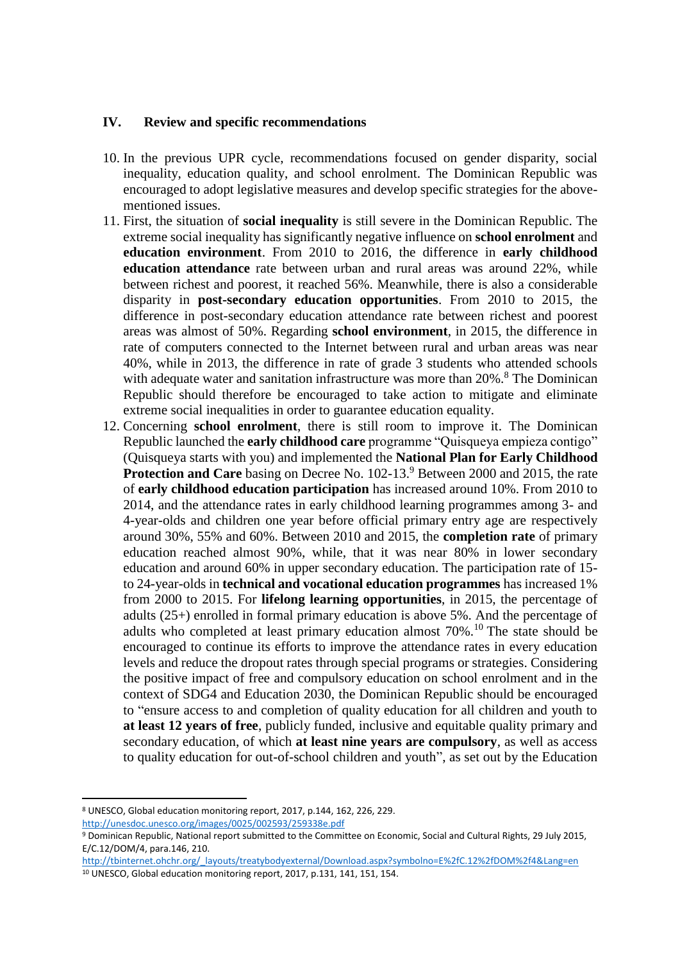#### **IV. Review and specific recommendations**

- 10. In the previous UPR cycle, recommendations focused on gender disparity, social inequality, education quality, and school enrolment. The Dominican Republic was encouraged to adopt legislative measures and develop specific strategies for the abovementioned issues.
- 11. First, the situation of **social inequality** is still severe in the Dominican Republic. The extreme social inequality has significantly negative influence on **school enrolment** and **education environment**. From 2010 to 2016, the difference in **early childhood education attendance** rate between urban and rural areas was around 22%, while between richest and poorest, it reached 56%. Meanwhile, there is also a considerable disparity in **post-secondary education opportunities**. From 2010 to 2015, the difference in post-secondary education attendance rate between richest and poorest areas was almost of 50%. Regarding **school environment**, in 2015, the difference in rate of computers connected to the Internet between rural and urban areas was near 40%, while in 2013, the difference in rate of grade 3 students who attended schools with adequate water and sanitation infrastructure was more than 20%.<sup>8</sup> The Dominican Republic should therefore be encouraged to take action to mitigate and eliminate extreme social inequalities in order to guarantee education equality.
- 12. Concerning **school enrolment**, there is still room to improve it. The Dominican Republic launched the **early childhood care** programme "Quisqueya empieza contigo" (Quisqueya starts with you) and implemented the **National Plan for Early Childhood Protection and Care** basing on Decree No. 102-13.<sup>9</sup> Between 2000 and 2015, the rate of **early childhood education participation** has increased around 10%. From 2010 to 2014, and the attendance rates in early childhood learning programmes among 3- and 4-year-olds and children one year before official primary entry age are respectively around 30%, 55% and 60%. Between 2010 and 2015, the **completion rate** of primary education reached almost 90%, while, that it was near 80% in lower secondary education and around 60% in upper secondary education. The participation rate of 15 to 24-year-olds in **technical and vocational education programmes** has increased 1% from 2000 to 2015. For **lifelong learning opportunities**, in 2015, the percentage of adults (25+) enrolled in formal primary education is above 5%. And the percentage of adults who completed at least primary education almost 70%.<sup>10</sup> The state should be encouraged to continue its efforts to improve the attendance rates in every education levels and reduce the dropout rates through special programs or strategies. Considering the positive impact of free and compulsory education on school enrolment and in the context of SDG4 and Education 2030, the Dominican Republic should be encouraged to "ensure access to and completion of quality education for all children and youth to **at least 12 years of free**, publicly funded, inclusive and equitable quality primary and secondary education, of which **at least nine years are compulsory**, as well as access to quality education for out-of-school children and youth", as set out by the Education

<http://unesdoc.unesco.org/images/0025/002593/259338e.pdf>

**.** 

<sup>8</sup> UNESCO, Global education monitoring report, 2017, p.144, 162, 226, 229.

<sup>9</sup> Dominican Republic, National report submitted to the Committee on Economic, Social and Cultural Rights, 29 July 2015, E/C.12/DOM/4, para.146, 210.

[http://tbinternet.ohchr.org/\\_layouts/treatybodyexternal/Download.aspx?symbolno=E%2fC.12%2fDOM%2f4&Lang=en](http://tbinternet.ohchr.org/_layouts/treatybodyexternal/Download.aspx?symbolno=E%2fC.12%2fDOM%2f4&Lang=en) <sup>10</sup> UNESCO, Global education monitoring report, 2017, p.131, 141, 151, 154.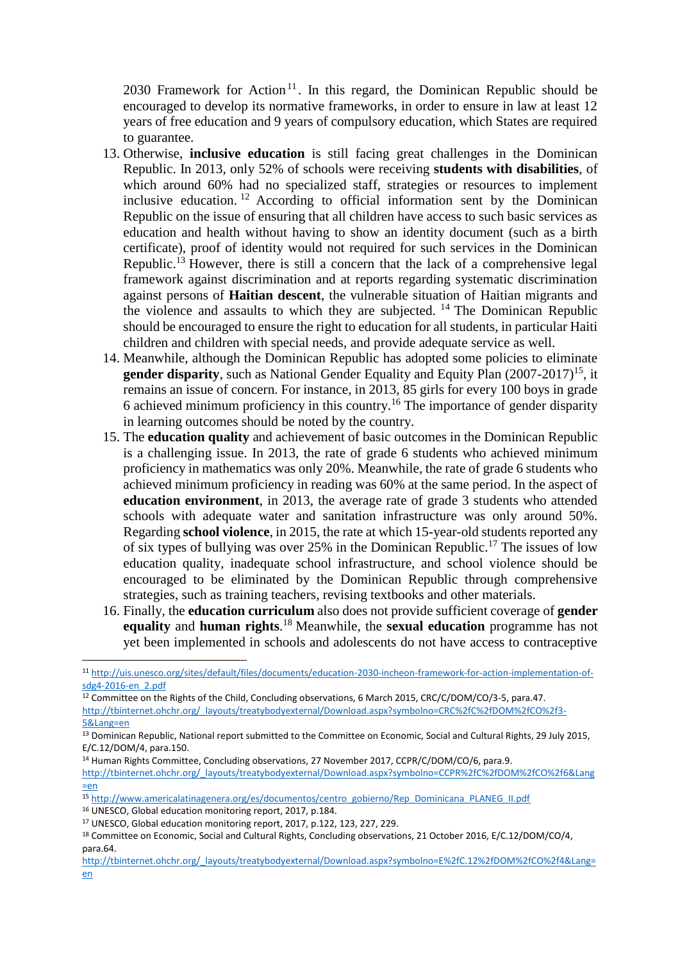2030 Framework for Action<sup>11</sup>. In this regard, the Dominican Republic should be encouraged to develop its normative frameworks, in order to ensure in law at least 12 years of free education and 9 years of compulsory education, which States are required to guarantee.

- 13. Otherwise, **inclusive education** is still facing great challenges in the Dominican Republic. In 2013, only 52% of schools were receiving **students with disabilities**, of which around 60% had no specialized staff, strategies or resources to implement inclusive education. <sup>12</sup> According to official information sent by the Dominican Republic on the issue of ensuring that all children have access to such basic services as education and health without having to show an identity document (such as a birth certificate), proof of identity would not required for such services in the Dominican Republic.<sup>13</sup> However, there is still a concern that the lack of a comprehensive legal framework against discrimination and at reports regarding systematic discrimination against persons of **Haitian descent**, the vulnerable situation of Haitian migrants and the violence and assaults to which they are subjected. <sup>14</sup> The Dominican Republic should be encouraged to ensure the right to education for all students, in particular Haiti children and children with special needs, and provide adequate service as well.
- 14. Meanwhile, although the Dominican Republic has adopted some policies to eliminate gender disparity, such as National Gender Equality and Equity Plan (2007-2017)<sup>15</sup>, it remains an issue of concern. For instance, in 2013, 85 girls for every 100 boys in grade 6 achieved minimum proficiency in this country.<sup>16</sup> The importance of gender disparity in learning outcomes should be noted by the country.
- 15. The **education quality** and achievement of basic outcomes in the Dominican Republic is a challenging issue. In 2013, the rate of grade 6 students who achieved minimum proficiency in mathematics was only 20%. Meanwhile, the rate of grade 6 students who achieved minimum proficiency in reading was 60% at the same period. In the aspect of **education environment**, in 2013, the average rate of grade 3 students who attended schools with adequate water and sanitation infrastructure was only around 50%. Regarding **school violence**, in 2015, the rate at which 15-year-old students reported any of six types of bullying was over 25% in the Dominican Republic.<sup>17</sup> The issues of low education quality, inadequate school infrastructure, and school violence should be encouraged to be eliminated by the Dominican Republic through comprehensive strategies, such as training teachers, revising textbooks and other materials.
- 16. Finally, the **education curriculum** also does not provide sufficient coverage of **gender equality** and **human rights**. <sup>18</sup> Meanwhile, the **sexual education** programme has not yet been implemented in schools and adolescents do not have access to contraceptive

<sup>12</sup> Committee on the Rights of the Child, Concluding observations, 6 March 2015, CRC/C/DOM/CO/3-5, para.47. [http://tbinternet.ohchr.org/\\_layouts/treatybodyexternal/Download.aspx?symbolno=CRC%2fC%2fDOM%2fCO%2f3-](http://tbinternet.ohchr.org/_layouts/treatybodyexternal/Download.aspx?symbolno=CRC%2fC%2fDOM%2fCO%2f3-5&Lang=en) [5&Lang=en](http://tbinternet.ohchr.org/_layouts/treatybodyexternal/Download.aspx?symbolno=CRC%2fC%2fDOM%2fCO%2f3-5&Lang=en)

1

<sup>11</sup> [http://uis.unesco.org/sites/default/files/documents/education-2030-incheon-framework-for-action-implementation-of](http://uis.unesco.org/sites/default/files/documents/education-2030-incheon-framework-for-action-implementation-of-sdg4-2016-en_2.pdf)[sdg4-2016-en\\_2.pdf](http://uis.unesco.org/sites/default/files/documents/education-2030-incheon-framework-for-action-implementation-of-sdg4-2016-en_2.pdf)

<sup>&</sup>lt;sup>13</sup> Dominican Republic, National report submitted to the Committee on Economic, Social and Cultural Rights, 29 July 2015, E/C.12/DOM/4, para.150.

<sup>&</sup>lt;sup>14</sup> Human Rights Committee, Concluding observations, 27 November 2017, CCPR/C/DOM/CO/6, para.9.

[http://tbinternet.ohchr.org/\\_layouts/treatybodyexternal/Download.aspx?symbolno=CCPR%2fC%2fDOM%2fCO%2f6&Lang](http://tbinternet.ohchr.org/_layouts/treatybodyexternal/Download.aspx?symbolno=CCPR%2fC%2fDOM%2fCO%2f6&Lang=en) [=en](http://tbinternet.ohchr.org/_layouts/treatybodyexternal/Download.aspx?symbolno=CCPR%2fC%2fDOM%2fCO%2f6&Lang=en)

<sup>15</sup> [http://www.americalatinagenera.org/es/documentos/centro\\_gobierno/Rep\\_Dominicana\\_PLANEG\\_II.pdf](http://www.americalatinagenera.org/es/documentos/centro_gobierno/Rep_Dominicana_PLANEG_II.pdf)

<sup>16</sup> UNESCO, Global education monitoring report, 2017, p.184.

<sup>17</sup> UNESCO, Global education monitoring report, 2017, p.122, 123, 227, 229.

<sup>18</sup> Committee on Economic, Social and Cultural Rights, Concluding observations, 21 October 2016, E/C.12/DOM/CO/4, para.64.

[http://tbinternet.ohchr.org/\\_layouts/treatybodyexternal/Download.aspx?symbolno=E%2fC.12%2fDOM%2fCO%2f4&Lang=](http://tbinternet.ohchr.org/_layouts/treatybodyexternal/Download.aspx?symbolno=E%2fC.12%2fDOM%2fCO%2f4&Lang=en) [en](http://tbinternet.ohchr.org/_layouts/treatybodyexternal/Download.aspx?symbolno=E%2fC.12%2fDOM%2fCO%2f4&Lang=en)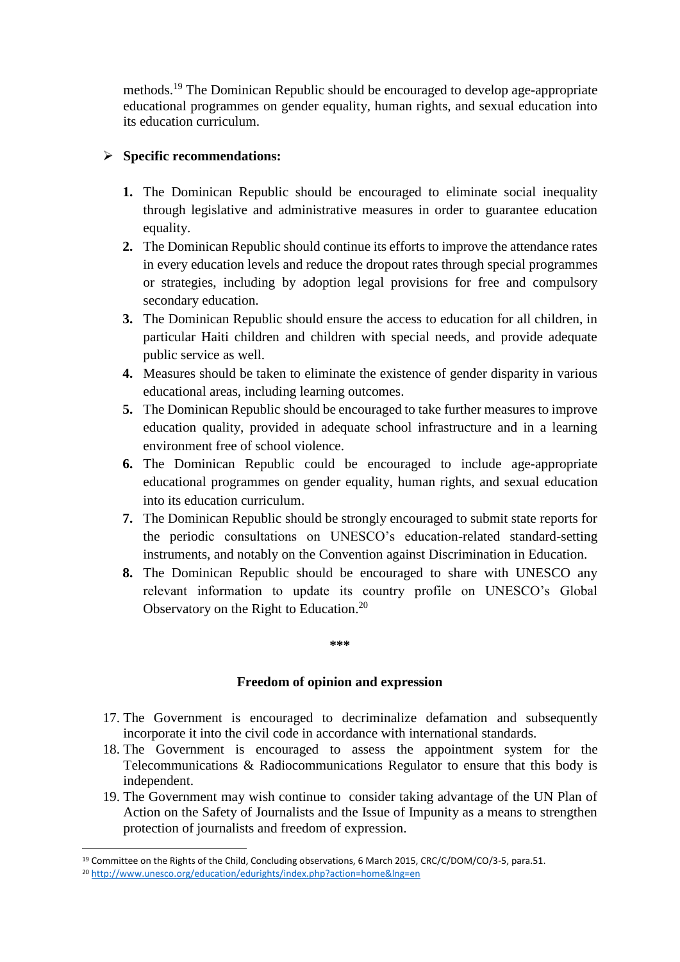methods.<sup>19</sup> The Dominican Republic should be encouraged to develop age-appropriate educational programmes on gender equality, human rights, and sexual education into its education curriculum.

## **Specific recommendations:**

- **1.** The Dominican Republic should be encouraged to eliminate social inequality through legislative and administrative measures in order to guarantee education equality.
- **2.** The Dominican Republic should continue its efforts to improve the attendance rates in every education levels and reduce the dropout rates through special programmes or strategies, including by adoption legal provisions for free and compulsory secondary education.
- **3.** The Dominican Republic should ensure the access to education for all children, in particular Haiti children and children with special needs, and provide adequate public service as well.
- **4.** Measures should be taken to eliminate the existence of gender disparity in various educational areas, including learning outcomes.
- **5.** The Dominican Republic should be encouraged to take further measures to improve education quality, provided in adequate school infrastructure and in a learning environment free of school violence.
- **6.** The Dominican Republic could be encouraged to include age-appropriate educational programmes on gender equality, human rights, and sexual education into its education curriculum.
- **7.** The Dominican Republic should be strongly encouraged to submit state reports for the periodic consultations on UNESCO's education-related standard-setting instruments, and notably on the Convention against Discrimination in Education.
- **8.** The Dominican Republic should be encouraged to share with UNESCO any relevant information to update its country profile on UNESCO's Global Observatory on the Right to Education.<sup>20</sup>

#### **\*\*\***

### **Freedom of opinion and expression**

- 17. The Government is encouraged to decriminalize defamation and subsequently incorporate it into the civil code in accordance with international standards.
- 18. The Government is encouraged to assess the appointment system for the Telecommunications & Radiocommunications Regulator to ensure that this body is independent.
- 19. The Government may wish continue to consider taking advantage of the UN Plan of Action on the Safety of Journalists and the Issue of Impunity as a means to strengthen protection of journalists and freedom of expression.

**<sup>.</sup>** <sup>19</sup> Committee on the Rights of the Child, Concluding observations, 6 March 2015, CRC/C/DOM/CO/3-5, para.51.

<sup>20</sup> <http://www.unesco.org/education/edurights/index.php?action=home&lng=en>